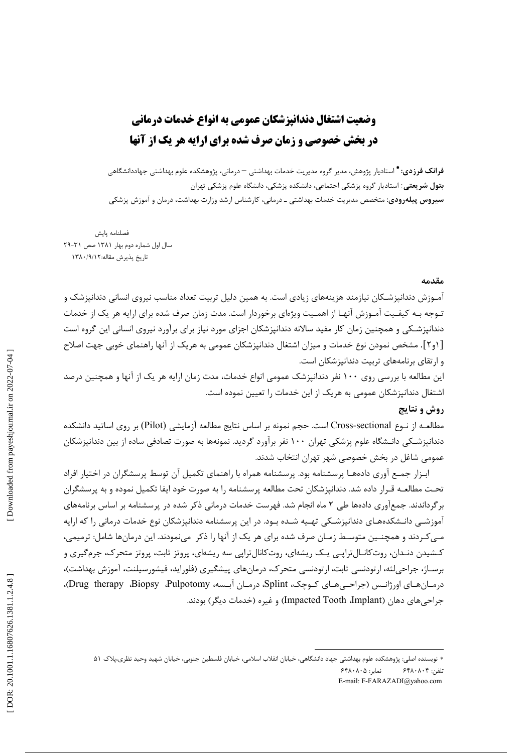## وضعیت اشتغال دندانیزشکان عمومی به انواع خدمات درمانی **در بخش خصوصی و زمان صرف شده برای ارایه هر یک از آنها**

**فرانک فرزدی: \*** استادیار پژوهش، مدیر گروه مدیریت خدمات بهداشتی <sup>—</sup> درمانی، پژوهشکده علوم بهداشتی جهاددانشگاهی **بتول شریعتی**: استادیار گروه پزشکی اجتماعی، دانشکده پزشکی، دانشگاه علوم پزشکی تهران **سیروس پیلهرودی:** متخصص مدیریت خدمات بهداشتی ـ درمانی، کارشناس ارشد وزارت بهداشت، درمان و آموزش پزشکی

فصلنامه يايش سال اول شماره دوم بهار ۱۳۸۱ صص ۳۱-۲۹ تاريخ پذيرش مقاله:١٣٨٠/٩/١٢

## مقدمه

آمـوزش دندانیزشـکان نیازمند هزینههای زیادی است. به همین دلیل تربیت تعداد مناسب نیروی انسانی دندانیزشک و تـوجه بـه کیفـیت آمـوزش آنهـا از اهمـیت ویژهای برخوردار است. مدت زمان صرف شده برای ارایه هر یک از خدمات دندانیزشـکی و همچنین زمان کار مفید سالانه دندانیزشکان اجزای مورد نیاز برای برآورد نیروی انسانی این گروه است [۱و۲]. مشخص نمودن نوع خدمات و میزان اشتغال دندانپزشکان عمومی به هریک از آنها راهنمای خوبی جهت اصلاح و ارتقای برنامههای تربیت دندانیزشکان است.

این مطالعه با بررسی روی ۱۰۰ نفر دندانیزشک عمومی انواع خدمات، مدت زمان ارایه هر یک از آنها و همچنین درصد اشتغال دندانپزشکان عمومی به هریک از این خدمات را تعیین نموده است.

## **روش و نتایج**

مطالعـه از نــوع Cross-sectional است. حجم نمونه بر اساس نتايج مطالعه آزمايشي (Pilot) بر روى اساتيد دانشكده دندانیزشـکی دانـشگاه علوم پزشکی تهران ۱۰۰ نفر برآورد گردید. نمونهها به صورت تصادفی ساده از بین دندانیزشکان عمومی شاغل در بخش خصوصی شهر تهران انتخاب شدند.

ابـزار جمـع آوری دادههـا پرسشنامه بود. پرسشنامه همراه با راهنمای تکمیل آن توسط پرسشگران در اختیار افراد تحـت مطالعــه قـرار داده شد. دندانیزشکان تحت مطالعه پرسشنامه را به صورت خود ایفا تکمیل نموده و به پرسشگران بر گرداندند. جمعآوری دادهها طی ۲ ماه انجام شد. فهرست خدمات درمانی ذکر شده در پرسشنامه بر اساس برنامههای آموزشـی دانـشکدههـای دندانپزشـکی تهـیه شـده بـود. در این پرسشنامه دندانپزشکان نوع خدمات درمانی را که ارایه مـیکردند و همچنـین متوسـط زمـان صرف شده برای هر یک از آنها را ذکر ًمینمودند. این درمانها شامل: ترمیمی، کـشیدن دنـدان، روتکانـال ترایـی یـک ریشهای، روتکانال ترایی سه ریشهای، پروتز ثابت، پروتز متحرک، جرمگیری و برســاژ، جراحی لثه، ارتودنسی ثابت، ارتودنسی متحرک، درمانهای پیشگیری (فلوراید، فیشورسیلنت، آموزش بهداشت)، درمـان هـاي اورژانـس (جراحـي هـاي كـوچک، Splint، درمـان آبـسه، Drug therapy ،Biopsy ،Pulpotomy)، جراحی های دهان (Impacted Tooth ،Implant) و غیره (خدمات دیگر) بودند.

<sup>\*</sup> نویسنده اصلی: پژوهشکده علوم بهداشتی جهاد دانشگاهی، خیابان انقلاب اسلامی، خیابان فلسطین جنوبی، خیابان شهید وحید نظری،پلاک ۵۱ نمایر: ۶۴۸۰۸۰۵ تلفن: ۶۴۸۰۸۰۴ E-mail: F-FARAZADI@yahoo.com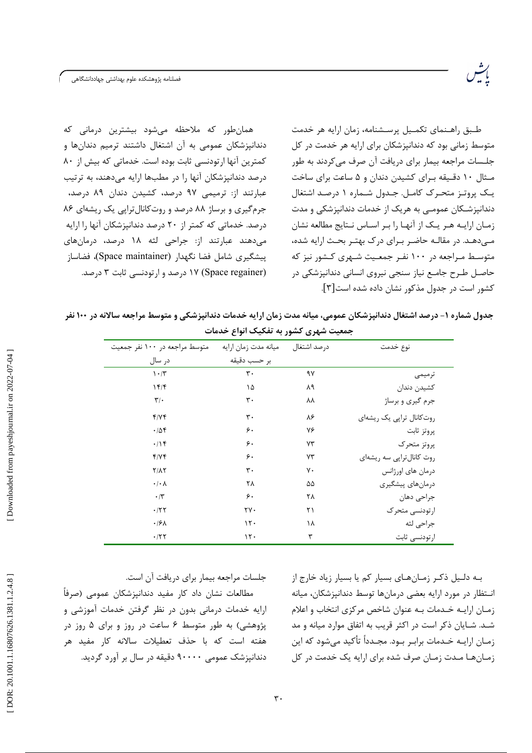فصلنامه پژوهشكده علوم بهداشتى جهاددانشگاهى

طبق راهـنمای تکمـیل پرسـشنامه، زمان ارایه هر خدمت متوسط زمانی بود که دندانپزشکان برای ارایه هر خدمت در کل جلسات مراجعه بیمار برای دریافت آن صرف می کردند به طور مـثال ١٠ دقـيقه بـراى كشيدن دندان و ۵ ساعت براى ساخت یک پروتز متحرک کامل جدول شماره ۱ درصد اشتغال دندانپزشـكان عمومـى به هريك از خدمات دندانپزشكى و مدت زمان ارایه هر یک از آنها را بر اساس نتایج مطالعه نشان مـ دهـد. در مقالـه حاضـر بـراي درک بهتـر بحـث ارايه شده، متوسط مـراجعه در ۱۰۰ نفـر جمعـیت شـهری کـشور نیز که حاصل طرح جامع نیاز سنجی نیروی انسانی دندانپزشکی در كشور است در جدول مذكور نشان داده شده است[۳].

همان طور که ملاحظه می شود بیشترین درمانی که دندانپزشکان عمومی به آن اشتغال داشتند ترمیم دندانها و كمترين آنها ارتودنسي ثابت بوده است. خدماتي كه بيش از ٨٠ درصد دندانپزشکان آنها را در مطبها ارایه میدهند، به ترتیب عبارتند از: ترمیمی ۹۷ درصد، کشیدن دندان ۸۹ درصد، جرم گیری و برساژ ۸۸ درصد و روت کانال تراپی یک ریشهای ۸۶ درصد. خدماتی که کمتر از ۲۰ درصد دندانپزشکان آنها را ارایه میدهند عبارتند از: جراحی لثه ۱۸ درصد، درمانهای پیشگیری شامل فضا نگهدار (Space maintainer)، فضاساز (Space regainer) ۱۷ درصد و ارتودنسی ثابت ۳ درصد.

جدول شماره ۱- درصد اشتغال دندانپزشکان عمومی، میانه مدت زمان ارایه خدمات دندانپزشکی و متوسط مراجعه سالانه در ۱۰۰ نفر حمعیت شهری کشور به تفکیک انواع خدمات

| متوسط مراجعه در ۱۰۰ نفر جمعیت   | ميانه مدت زمان ارايه | درصد اشتغال | نوع خدمت                  |
|---------------------------------|----------------------|-------------|---------------------------|
| در سال                          | بر حسب دقيقه         |             |                           |
| $\mathcal{N} \cdot \mathcal{N}$ | $\mathbf{r}$ .       | ٩٧          | ترميمى                    |
| 15/                             | ۱۵                   | ۸۹          | كشيدن دندان               |
| $\mathbf{r}/\cdot$              | $\mathbf{r}$ .       | ۸۸          | جرم گیری و برساژ          |
| f/Yf                            | $\mathbf{r}$ .       | ۸۶          | روت کانال تراپی یک ریشهای |
| .788                            | ۶۰                   | ٧۶          | پروتز ثابت                |
| .19                             | ۶۰                   | ٧٣          | پروتز متحرک               |
| f/Yf                            | ۶۰                   | ٧٣          | روت کانال تراپی سه ریشهای |
| $Y/\Lambda Y$                   | ٣٠                   | γ٠          | درمان های اورژانس         |
| $\cdot/\cdot \wedge$            | ٢٨                   | ۵۵          | درمانهای پیشگیری          |
| $\cdot$ /٣                      | ۶۰                   | ۲۸          | جراحي دهان                |
| .777                            | ٢٧٠                  | ۲۱          | ارتودنسي متحرك            |
| $\cdot$ /۶ $\wedge$             | 15.                  | ۱۸          | جراحي لثه                 |
| $\cdot$ /٢٢                     | 15.                  | ٣           | ارتودنسي ثابت             |

جلسات مراجعه بيمار براي دريافت آن است.

مطالعات نشان داد کار مفید دندانیزشکان عمومی (صرفاً ارایه خدمات درمانی بدون در نظر گرفتن خدمات آموزشی و پژوهشی) به طور متوسط ۶ ساعت در روز و برای ۵ روز در هفته است که با حذف تعطیلات سالانه کار مفید هر دندانپزشک عمومی ۹۰۰۰۰ دقیقه در سال بر آورد گردید.

بـه دلـیل ذکـر زمـانهـای بسیار کم یا بسیار زیاد خارج از انتظار در مورد ارایه بعضی درمانها توسط دندانیزشکان، میانه زمـان ارايـه خـدمات بـه عنوان شاخص مركزي انتخاب و اعلام شـد. شـایان ذکر است در اکثر قریب به اتفاق موارد میانه و مد زمـان ارايــه خــدمات برابـر بــود. مجــدداً تأكيد مـىشود كه اين زمـانهـا مـدت زمـان صرف شده برای ارایه یک خدمت در کل